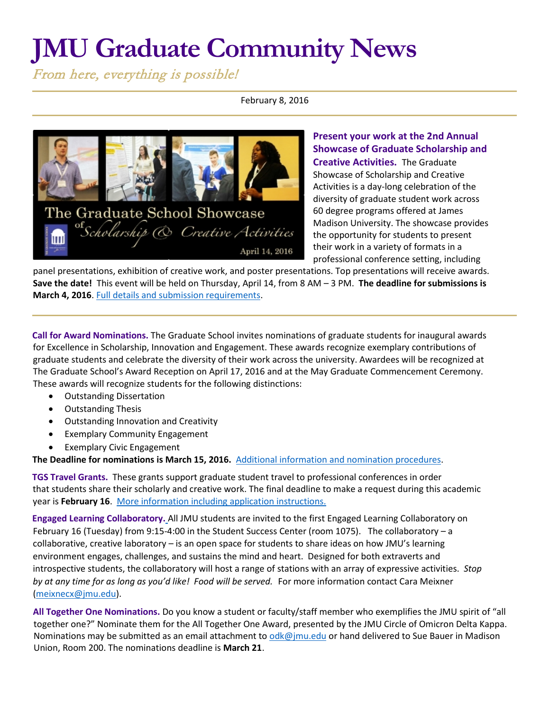# **JMU Graduate Community News**

From here, everything is possible!

### February 8, 2016



**Present your work at the 2nd Annual Showcase of Graduate Scholarship and Creative Activities.** The Graduate Showcase of Scholarship and Creative Activities is a day-long celebration of the diversity of graduate student work across 60 degree programs offered at James Madison University. The showcase provides the opportunity for students to present their work in a variety of formats in a professional conference setting, including

panel presentations, exhibition of creative work, and poster presentations. Top presentations will receive awards. **Save the date!** This event will be held on Thursday, April 14, from 8 AM – 3 PM. **The deadline for submissions is March 4, 2016**. [Full details and submission requirements.](http://www.jmu.edu/grad/happenings/Showcase2016.shtml)

**Call for Award Nominations.** The Graduate School invites nominations of graduate students for inaugural awards for Excellence in Scholarship, Innovation and Engagement. These awards recognize exemplary contributions of graduate students and celebrate the diversity of their work across the university. Awardees will be recognized at The Graduate School's Award Reception on April 17, 2016 and at the May Graduate Commencement Ceremony. These awards will recognize students for the following distinctions:

- Outstanding Dissertation
- Outstanding Thesis
- Outstanding Innovation and Creativity
- Exemplary Community Engagement
- Exemplary Civic Engagement

**The Deadline for nominations is March 15, 2016.** [Additional information and nomination procedures.](http://www.jmu.edu/grad/current-students/awards/awards2016.shtml)

**TGS Travel Grants.** These grants support graduate student travel to professional conferences in order that students share their scholarly and creative work. The final deadline to make a request during this academic year is **February 16**. [More information including application instructions.](http://www.jmu.edu/grad/current-students/awards/travel-grants.shtml)

**Engaged Learning Collaboratory.** All JMU students are invited to the first Engaged Learning Collaboratory on February 16 (Tuesday) from 9:15-4:00 in the Student Success Center (room 1075). The collaboratory – a collaborative, creative laboratory – is an open space for students to share ideas on how JMU's learning environment engages, challenges, and sustains the mind and heart. Designed for both extraverts and introspective students, the collaboratory will host a range of stations with an array of expressive activities. *Stop by at any time for as long as you'd like! Food will be served.* For more information contact Cara Meixner [\(meixnecx@jmu.edu\)](mailto:meixnecx@jmu.edu).

**All Together One Nominations.** Do you know a student or faculty/staff member who exemplifies the JMU spirit of "all together one?" Nominate them for the All Together One Award, presented by the JMU Circle of Omicron Delta Kappa. Nominations may be submitted as an email attachment to [odk@jmu.edu](mailto:odk@jmu.edu) or hand delivered to Sue Bauer in Madison Union, Room 200. The nominations deadline is **March 21**.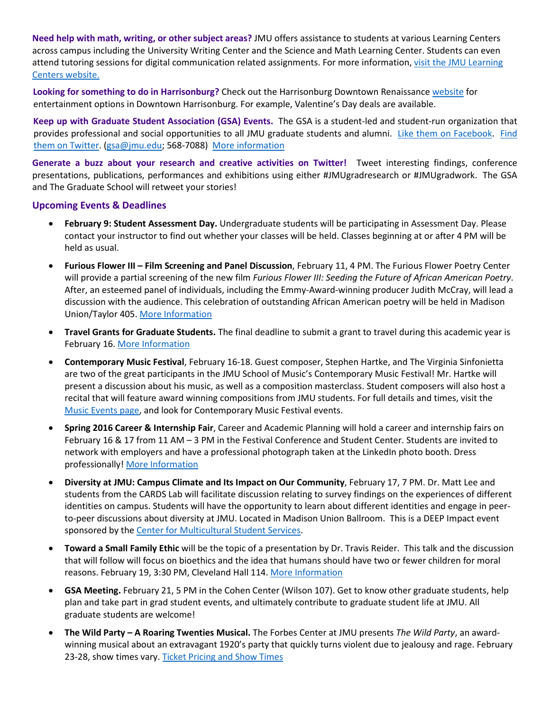**Need help with math, writing, or other subject areas?** JMU offers assistance to students at various Learning Centers across campus including the University Writing Center and the Science and Math Learning Center. Students can even attend tutoring sessions for digital communication related assignments. For more information, visit the JMU Learning [Centers website.](https://www.jmu.edu/learning/)

**Looking for something to do in Harrisonburg?** Check out the Harrisonburg Downtown Renaissance [website](http://celebratedowntownharrisonburg.com/new-page-76/) for entertainment options in Downtown Harrisonburg. For example, Valentine's Day deals are available.

**Keep up with Graduate Student Association (GSA) Events.** The GSA is a student-led and student-run organization that provides professional and social opportunities to all JMU graduate students and alumni. [Like them on Facebook.](https://www.facebook.com/JMUGSA?fref=ts) [Find](https://twitter.com/JMUGSA) [them on Twitter. \(](https://twitter.com/JMUGSA)gsa@jmu.edu; 568-7088[\) More information](http://www.jmu.edu/grad/gsa/index.shtml) 

**Generate a buzz about your research and creative activities on Twitter!** Tweet interesting findings, conference presentations, publications, performances and exhibitions using either #JMUgradresearch or #JMUgradwork. The GSA and The Graduate School will retweet your stories!

## **Upcoming Events & Deadlines**

- **February 9: Student Assessment Day.** Undergraduate students will be participating in Assessment Day. Please contact your instructor to find out whether your classes will be held. Classes beginning at or after 4 PM will be held as usual.
- **Furious Flower III – Film Screening and Panel Discussion**, February 11, 4 PM. The Furious Flower Poetry Center will provide a partial screening of the new film *Furious Flower III: Seeding the Future of African American Poetry*. After, an esteemed panel of individuals, including the Emmy-Award-winning producer Judith McCray, will lead a discussion with the audience. This celebration of outstanding African American poetry will be held in Madison Union/Taylor 405[. More Information](http://www.jmu.edu/events/furiousflower/2016/02/11-screening.shtml)
- **Travel Grants for Graduate Students.** The final deadline to submit a grant to travel during this academic year is February 16. [More Information](https://www.jmu.edu/grad/current-students/awards/travel-grants.shtml)
- **Contemporary Music Festival**, February 16-18. Guest composer, Stephen Hartke, and The Virginia Sinfonietta are two of the great participants in the JMU School of Music's Contemporary Music Festival! Mr. Hartke will present a discussion about his music, as well as a composition masterclass. Student composers will also host a recital that will feature award winning compositions from JMU students. For full details and times, visit the [Music Events page,](https://www.jmu.edu/events/music/index.shtml) and look for Contemporary Music Festival events.
- **Spring 2016 Career & Internship Fair**, Career and Academic Planning will hold a career and internship fairs on February 16 & 17 from 11 AM – 3 PM in the Festival Conference and Student Center. Students are invited to network with employers and have a professional photograph taken at the LinkedIn photo booth. Dress professionally! [More Information](https://www.jmu.edu/cap/fair/careerfair/students.shtml)
- **Diversity at JMU: Campus Climate and Its Impact on Our Community**, February 17, 7 PM. Dr. Matt Lee and students from the CARDS Lab will facilitate discussion relating to survey findings on the experiences of different identities on campus. Students will have the opportunity to learn about different identities and engage in peerto-peer discussions about diversity at JMU. Located in Madison Union Ballroom. This is a DEEP Impact event sponsored by the [Center for Multicultural Student Services.](https://www.jmu.edu/multicultural/)
- **Toward a Small Family Ethic** will be the topic of a presentation by Dr. Travis Reider. This talk and the discussion that will follow will focus on bioethics and the idea that humans should have two or fewer children for moral reasons. February 19, 3:30 PM, Cleveland Hall 114. [More Information](http://www.jmu.edu/events/philrel/2015/10/10-09-2015_reidertalk.shtml)
- **GSA Meeting.** February 21, 5 PM in the Cohen Center (Wilson 107). Get to know other graduate students, help plan and take part in grad student events, and ultimately contribute to graduate student life at JMU. All graduate students are welcome!
- **The Wild Party – A Roaring Twenties Musical.** The Forbes Center at JMU presents *The Wild Party*, an awardwinning musical about an extravagant 1920's party that quickly turns violent due to jealousy and rage. February 23-28, show times vary[. Ticket Pricing and Show Times](http://www.jmu.edu/forbescenter/events/2016/02/23-wild-party.shtml)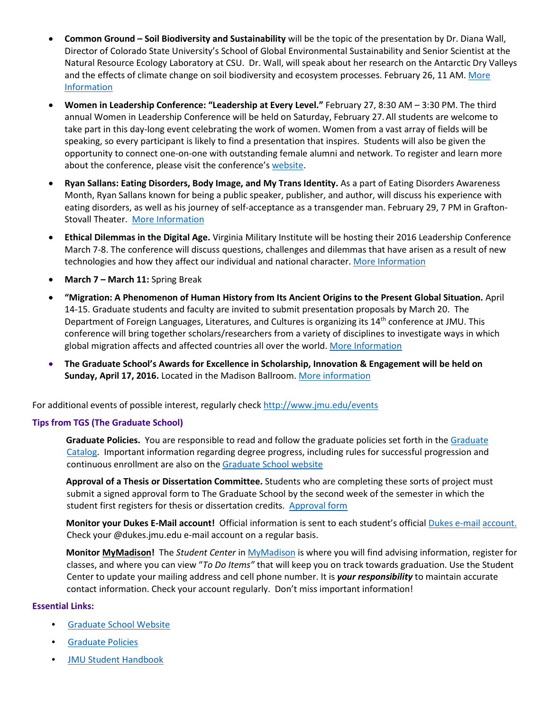- **Common Ground – Soil Biodiversity and Sustainability** will be the topic of the presentation by Dr. Diana Wall, Director of Colorado State University's School of Global Environmental Sustainability and Senior Scientist at the Natural Resource Ecology Laboratory at CSU. Dr. Wall, will speak about her research on the Antarctic Dry Valleys and the effects of climate change on soil biodiversity and ecosystem processes. February 26, 11 AM. [More](http://www.jmu.edu/events/cohencenter/2016/02/26-wall.shtml)  [Information](http://www.jmu.edu/events/cohencenter/2016/02/26-wall.shtml)
- **Women in Leadership Conference: "Leadership at Every Level."** February 27, 8:30 AM 3:30 PM. The third annual Women in Leadership Conference will be held on Saturday, February 27.All students are welcome to take part in this day-long event celebrating the work of women. Women from a vast array of fields will be speaking, so every participant is likely to find a presentation that inspires. Students will also be given the opportunity to connect one-on-one with outstanding female alumni and network. To register and learn more about the conference, please visit the conference's [website.](http://www.alumni.jmu.edu/s/1591/gid3-Alumni/social.aspx?sid=1591&gid=3&pgid=2590)
- **Ryan Sallans: Eating Disorders, Body Image, and My Trans Identity.** As a part of Eating Disorders Awareness Month, Ryan Sallans known for being a public speaker, publisher, and author, will discuss his experience with eating disorders, as well as his journey of self-acceptance as a transgender man. February 29, 7 PM in Grafton-Stovall Theater. [More Information](http://www.jmu.edu/events/healthcenter/2016/02/29-ryan-sallans.shtml)
- **Ethical Dilemmas in the Digital Age.** Virginia Military Institute will be hosting their 2016 Leadership Conference March 7-8. The conference will discuss questions, challenges and dilemmas that have arisen as a result of new technologies and how they affect our individual and national character[. More Information](http://www.vmi.edu/Conferences/Leadership/2015/Leadership_Conference/)
- **March 7 – March 11:** Spring Break
- **"Migration: A Phenomenon of Human History from Its Ancient Origins to the Present Global Situation.** April 14-15. Graduate students and faculty are invited to submit presentation proposals by March 20. The Department of Foreign Languages, Literatures, and Cultures is organizing its 14<sup>th</sup> conference at JMU. This conference will bring together scholars/researchers from a variety of disciplines to investigate ways in which global migration affects and affected countries all over the world. [More Information](http://www.jmu.edu/forlang/conferenceFLLC/call.shtml)
- **The Graduate School's Awards for Excellence in Scholarship, Innovation & Engagement will be held on Sunday, April 17, 2016.** Located in the Madison Ballroom[. More information](http://www.jmu.edu/grad/current-students/awards/awards-for-excellence-in-scholarship-innovation-engagement.shtml)

For additional events of possible interest, regularly check<http://www.jmu.edu/events>

## **Tips from TGS (The Graduate School)**

**Graduate Policies.** You are responsible to read and follow the graduate policies set forth in th[e Graduate](http://jmu.edu/catalog) [Catalog.](http://jmu.edu/catalog) Important information regarding degree progress, including rules for successful progression and continuous enrollment are also on the [Graduate School website](http://www.jmu.edu/grad/current-students/degree-progress/beginning.shtml)

**Approval of a Thesis or Dissertation Committee.** Students who are completing these sorts of project must submit a signed approval form to The Graduate School by the second week of the semester in which the student first registers for thesis or dissertation credits. Approval form

**Monitor your Dukes E-Mail account!** Official information is sent to each student's offi[cial](http://www.jmu.edu/computing/helpdesk/selfhelp/DukesEmail.shtml) [Dukes e-mail](http://www.jmu.edu/computing/helpdesk/selfhelp/DukesEmail.shtml) [account.](http://www.jmu.edu/computing/helpdesk/selfhelp/DukesEmail.shtml) Check your @dukes.jmu.edu e-mail account on a regular basis.

**Monit[or MyMadison!](http://mymadison.jmu.edu/)** The *Student Center* [in MyMadison](http://mymadison.jmu.edu/) [is](http://mymadison.jmu.edu/) where you will find advising information, register for classes, and where you can view "*To Do Items"* that will keep you on track towards graduation. Use the Student Center to update your mailing address and cell phone number. It is *your responsibility* to maintain accurate contact information. Check your account regularly. Don't miss important information!

## **Essential Links:**

- [Graduate School Website](http://www.jmu.edu/grad)
- [Graduate Policies](http://www.jmu.edu/catalog/index.shtml)
- [JMU Student Handbook](http://www.jmu.edu/osarp/handbook/)